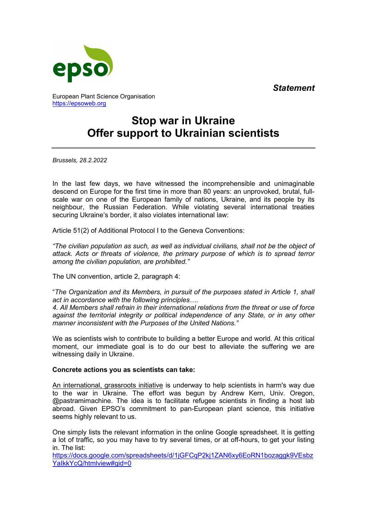*Statement*



European Plant Science Organisation [https://epsoweb.org](https://epsoweb.org/) 

# **Stop war in Ukraine Offer support to Ukrainian scientists**

*Brussels, 28.2.2022* 

In the last few days, we have witnessed the incomprehensible and unimaginable descend on Europe for the first time in more than 80 years: an unprovoked, brutal, fullscale war on one of the European family of nations, Ukraine, and its people by its neighbour, the Russian Federation. While violating several international treaties securing Ukraine's border, it also violates international law:

Article 51(2) of Additional Protocol I to the Geneva Conventions:

*"The civilian population as such, as well as individual civilians, shall not be the object of attack. Acts or threats of violence, the primary purpose of which is to spread terror among the civilian population, are prohibited."* 

The UN convention, article 2, paragraph 4:

"*The Organization and its Members, in pursuit of the purposes stated in Article 1, shall act in accordance with the following principles….* 

*4. All Members shall refrain in their international relations from the threat or use of force against the territorial integrity or political independence of any State, or in any other manner inconsistent with the Purposes of the United Nations."* 

We as scientists wish to contribute to building a better Europe and world. At this critical moment, our immediate goal is to do our best to alleviate the suffering we are witnessing daily in Ukraine.

# **Concrete actions you as scientists can take:**

An international, grassroots initiative is underway to help scientists in harm's way due to the war in Ukraine. The effort was begun by Andrew Kern, Univ. Oregon, @pastramimachine. The idea is to facilitate refugee scientists in finding a host lab abroad. Given EPSO's commitment to pan-European plant science, this initiative seems highly relevant to us.

One simply lists the relevant information in the online Google spreadsheet. It is getting a lot of traffic, so you may have to try several times, or at off-hours, to get your listing in. The list:

[https://docs.google.com/spreadsheets/d/1jGFCqP2kj1ZAN6xy6EoRN1bozaggk9VEsbz](https://docs.google.com/spreadsheets/d/1jGFCqP2kj1ZAN6xy6EoRN1bozaggk9VEsbzYaIkkYcQ/htmlview#gid=0) [YaIkkYcQ/htmlview#gid=0](https://docs.google.com/spreadsheets/d/1jGFCqP2kj1ZAN6xy6EoRN1bozaggk9VEsbzYaIkkYcQ/htmlview#gid=0)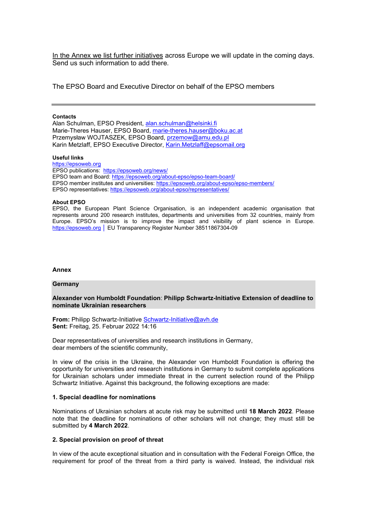In the Annex we list further initiatives across Europe we will update in the coming days. Send us such information to add there.

The EPSO Board and Executive Director on behalf of the EPSO members

### **Contacts**

Alan Schulman, EPSO President, [alan.schulman@helsinki.fi](mailto:alan.schulman@helsinki.fi)  Marie-Theres Hauser, EPSO Board, [marie-theres.hauser@boku.ac.at](mailto:marie-theres.hauser@boku.ac.at) Przemysław WOJTASZEK, EPSO Board, [przemow@amu.edu.pl](mailto:przemow@amu.edu.pl)  Karin Metzlaff, EPSO Executive Director, [Karin.Metzlaff@epsomail.org](mailto:Karin.Metzlaff@epsomail.org) 

## **Useful links**

[https://epsoweb.org](https://epsoweb.org/)  EPSO publications:<https://epsoweb.org/news/> EPSO team and Board[: https://epsoweb.org/about-epso/epso-team-board/](https://epsoweb.org/about-epso/epso-team-board/)  EPSO member institutes and universities[: https://epsoweb.org/about-epso/epso-members/](https://epsoweb.org/about-epso/epso-members/) EPSO representatives: <https://epsoweb.org/about-epso/representatives/>

## **About EPSO**

EPSO, the European Plant Science Organisation, is an independent academic organisation that represents around 200 research institutes, departments and universities from 32 countries, mainly from Europe. EPSO's mission is to improve the impact and visibility of plant science in Europe. [https://epsoweb.org](https://epsoweb.org/) │ EU Transparency Register Number 38511867304-09

## **Annex**

#### **Germany**

## **Alexander von Humboldt Foundation**: **Philipp Schwartz-Initiative Extension of deadline to nominate Ukrainian researchers**

**From:** Philipp Schwartz-Initiative [Schwartz-Initiative@avh.de](mailto:Schwartz-Initiative@avh.de) **Sent:** Freitag, 25. Februar 2022 14:16

Dear representatives of universities and research institutions in Germany, dear members of the scientific community,

In view of the crisis in the Ukraine, the Alexander von Humboldt Foundation is offering the opportunity for universities and research institutions in Germany to submit complete applications for Ukrainian scholars under immediate threat in the current selection round of the Philipp Schwartz Initiative. Against this background, the following exceptions are made:

## **1. Special deadline for nominations**

Nominations of Ukrainian scholars at acute risk may be submitted until **18 March 2022**. Please note that the deadline for nominations of other scholars will not change; they must still be submitted by **4 March 2022**.

## **2. Special provision on proof of threat**

In view of the acute exceptional situation and in consultation with the Federal Foreign Office, the requirement for proof of the threat from a third party is waived. Instead, the individual risk